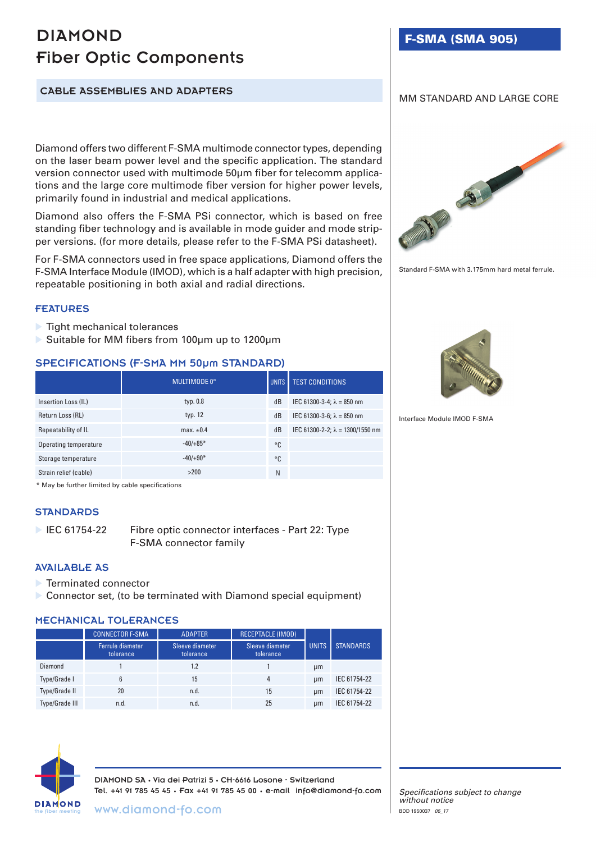# DIAMOND Fiber Optic Components

F-SMA (SMA 905)

## CABLE ASSEMBLIES AND ADAPTERS

Diamond offers two different F-SMA multimode connector types, depending on the laser beam power level and the specific application. The standard version connector used with multimode 50μm fiber for telecomm applications and the large core multimode fiber version for higher power levels, primarily found in industrial and medical applications.

Diamond also offers the F-SMA PSi connector, which is based on free standing fiber technology and is available in mode guider and mode stripper versions. (for more details, please refer to the F-SMA PSi datasheet).

For F-SMA connectors used in free space applications, Diamond offers the F-SMA Interface Module (IMOD), which is a half adapter with high precision, repeatable positioning in both axial and radial directions.

#### FEATURES

- $\blacktriangleright$  Tight mechanical tolerances
- ▶ Suitable for MM fibers from 100µm up to 1200µm

## SPECIFICATIONS (F-SMA MM 50µm STANDARD)

|                       | MULTIMODE 0°   |    | UNITS <b>TEST CONDITIONS</b>            |
|-----------------------|----------------|----|-----------------------------------------|
| Insertion Loss (IL)   | typ. 0.8       | dB | IEC 61300-3-4; $\lambda$ = 850 nm       |
| Return Loss (RL)      | typ. 12        | dB | IEC 61300-3-6; $\lambda = 850$ nm       |
| Repeatability of IL   | max. $\pm 0.4$ | dB | IEC 61300-2-2; $\lambda = 1300/1550$ nm |
| Operating temperature | $-40/+85*$     | °C |                                         |
| Storage temperature   | $-40/+90*$     | °C |                                         |
| Strain relief (cable) | >200           | N  |                                         |

\* May be further limited by cable specifications

#### **STANDARDS**

▶ IEC 61754-22 Fibre optic connector interfaces - Part 22: Type F-SMA connector family

#### AVAILABLE AS

- ▶ Terminated connector
- Connector set, (to be terminated with Diamond special equipment)

#### MECHANICAL TOLERANCES

|                       | <b>CONNECTOR F-SMA</b>        | <b>ADAPTER</b>               | <b>RECEPTACLE (IMOD)</b>     |              |                  |
|-----------------------|-------------------------------|------------------------------|------------------------------|--------------|------------------|
|                       | Ferrule diameter<br>tolerance | Sleeve diameter<br>tolerance | Sleeve diameter<br>tolerance | <b>UNITS</b> | <b>STANDARDS</b> |
| Diamond               |                               | 1.2                          |                              | µm           |                  |
| Type/Grade I          | 6                             | 15                           | 4                            | µm           | IEC 61754-22     |
| Type/Grade II         | 20                            | n.d.                         | 15                           | µm           | IEC 61754-22     |
| <b>Type/Grade III</b> | n.d.                          | n.d.                         | 25                           | µm           | IEC 61754-22     |



DIAMOND SA • Via dei Patrizi 5 • CH-6616 Losone - Switzerland Tel. +41 91 785 45 45 • Fax +41 91 785 45 00 • e-mail info@diamond-fo.com





MM STANDARD AND LARGE CORE

Standard F-SMA with 3.175mm hard metal ferrule.



Interface Module IMOD F-SMA

*Specifications subject to change without notice* BDD 1950037 *05\_17*